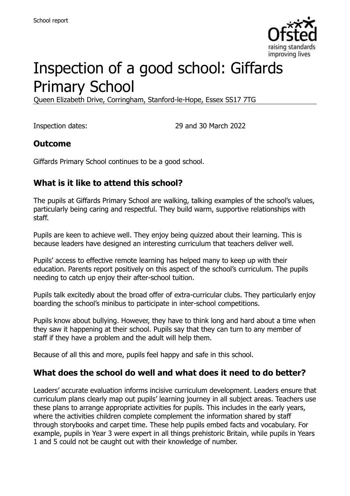

# Inspection of a good school: Giffards Primary School

Queen Elizabeth Drive, Corringham, Stanford-le-Hope, Essex SS17 7TG

Inspection dates: 29 and 30 March 2022

#### **Outcome**

Giffards Primary School continues to be a good school.

#### **What is it like to attend this school?**

The pupils at Giffards Primary School are walking, talking examples of the school's values, particularly being caring and respectful. They build warm, supportive relationships with staff.

Pupils are keen to achieve well. They enjoy being quizzed about their learning. This is because leaders have designed an interesting curriculum that teachers deliver well.

Pupils' access to effective remote learning has helped many to keep up with their education. Parents report positively on this aspect of the school's curriculum. The pupils needing to catch up enjoy their after-school tuition.

Pupils talk excitedly about the broad offer of extra-curricular clubs. They particularly enjoy boarding the school's minibus to participate in inter-school competitions.

Pupils know about bullying. However, they have to think long and hard about a time when they saw it happening at their school. Pupils say that they can turn to any member of staff if they have a problem and the adult will help them.

Because of all this and more, pupils feel happy and safe in this school.

#### **What does the school do well and what does it need to do better?**

Leaders' accurate evaluation informs incisive curriculum development. Leaders ensure that curriculum plans clearly map out pupils' learning journey in all subject areas. Teachers use these plans to arrange appropriate activities for pupils. This includes in the early years, where the activities children complete complement the information shared by staff through storybooks and carpet time. These help pupils embed facts and vocabulary. For example, pupils in Year 3 were expert in all things prehistoric Britain, while pupils in Years 1 and 5 could not be caught out with their knowledge of number.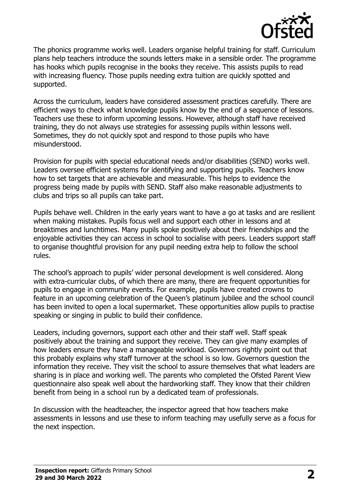

The phonics programme works well. Leaders organise helpful training for staff. Curriculum plans help teachers introduce the sounds letters make in a sensible order. The programme has hooks which pupils recognise in the books they receive. This assists pupils to read with increasing fluency. Those pupils needing extra tuition are quickly spotted and supported.

Across the curriculum, leaders have considered assessment practices carefully. There are efficient ways to check what knowledge pupils know by the end of a sequence of lessons. Teachers use these to inform upcoming lessons. However, although staff have received training, they do not always use strategies for assessing pupils within lessons well. Sometimes, they do not quickly spot and respond to those pupils who have misunderstood.

Provision for pupils with special educational needs and/or disabilities (SEND) works well. Leaders oversee efficient systems for identifying and supporting pupils. Teachers know how to set targets that are achievable and measurable. This helps to evidence the progress being made by pupils with SEND. Staff also make reasonable adjustments to clubs and trips so all pupils can take part.

Pupils behave well. Children in the early years want to have a go at tasks and are resilient when making mistakes. Pupils focus well and support each other in lessons and at breaktimes and lunchtimes. Many pupils spoke positively about their friendships and the enjoyable activities they can access in school to socialise with peers. Leaders support staff to organise thoughtful provision for any pupil needing extra help to follow the school rules.

The school's approach to pupils' wider personal development is well considered. Along with extra-curricular clubs, of which there are many, there are frequent opportunities for pupils to engage in community events. For example, pupils have created crowns to feature in an upcoming celebration of the Queen's platinum jubilee and the school council has been invited to open a local supermarket. These opportunities allow pupils to practise speaking or singing in public to build their confidence.

Leaders, including governors, support each other and their staff well. Staff speak positively about the training and support they receive. They can give many examples of how leaders ensure they have a manageable workload. Governors rightly point out that this probably explains why staff turnover at the school is so low. Governors question the information they receive. They visit the school to assure themselves that what leaders are sharing is in place and working well. The parents who completed the Ofsted Parent View questionnaire also speak well about the hardworking staff. They know that their children benefit from being in a school run by a dedicated team of professionals.

In discussion with the headteacher, the inspector agreed that how teachers make assessments in lessons and use these to inform teaching may usefully serve as a focus for the next inspection.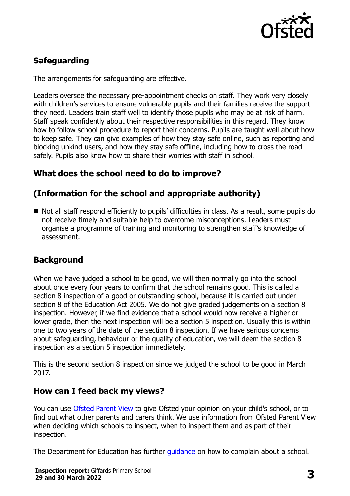

# **Safeguarding**

The arrangements for safeguarding are effective.

Leaders oversee the necessary pre-appointment checks on staff. They work very closely with children's services to ensure vulnerable pupils and their families receive the support they need. Leaders train staff well to identify those pupils who may be at risk of harm. Staff speak confidently about their respective responsibilities in this regard. They know how to follow school procedure to report their concerns. Pupils are taught well about how to keep safe. They can give examples of how they stay safe online, such as reporting and blocking unkind users, and how they stay safe offline, including how to cross the road safely. Pupils also know how to share their worries with staff in school.

# **What does the school need to do to improve?**

# **(Information for the school and appropriate authority)**

■ Not all staff respond efficiently to pupils' difficulties in class. As a result, some pupils do not receive timely and suitable help to overcome misconceptions. Leaders must organise a programme of training and monitoring to strengthen staff's knowledge of assessment.

# **Background**

When we have judged a school to be good, we will then normally go into the school about once every four years to confirm that the school remains good. This is called a section 8 inspection of a good or outstanding school, because it is carried out under section 8 of the Education Act 2005. We do not give graded judgements on a section 8 inspection. However, if we find evidence that a school would now receive a higher or lower grade, then the next inspection will be a section 5 inspection. Usually this is within one to two years of the date of the section 8 inspection. If we have serious concerns about safeguarding, behaviour or the quality of education, we will deem the section 8 inspection as a section 5 inspection immediately.

This is the second section 8 inspection since we judged the school to be good in March 2017.

#### **How can I feed back my views?**

You can use [Ofsted Parent View](https://parentview.ofsted.gov.uk/) to give Ofsted your opinion on your child's school, or to find out what other parents and carers think. We use information from Ofsted Parent View when deciding which schools to inspect, when to inspect them and as part of their inspection.

The Department for Education has further quidance on how to complain about a school.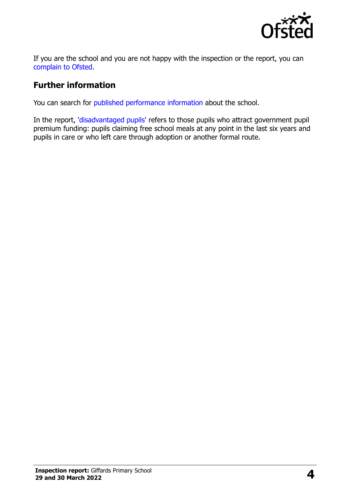

If you are the school and you are not happy with the inspection or the report, you can [complain to Ofsted.](https://www.gov.uk/complain-ofsted-report)

#### **Further information**

You can search for [published performance information](http://www.compare-school-performance.service.gov.uk/) about the school.

In the report, ['disadvantaged pupils'](http://www.gov.uk/guidance/pupil-premium-information-for-schools-and-alternative-provision-settings) refers to those pupils who attract government pupil premium funding: pupils claiming free school meals at any point in the last six years and pupils in care or who left care through adoption or another formal route.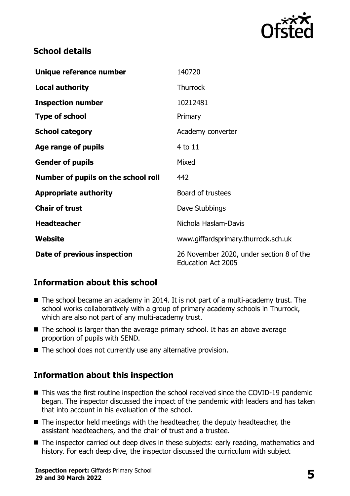

#### **School details**

| Unique reference number             | 140720                                                                |
|-------------------------------------|-----------------------------------------------------------------------|
| <b>Local authority</b>              | <b>Thurrock</b>                                                       |
| <b>Inspection number</b>            | 10212481                                                              |
| <b>Type of school</b>               | Primary                                                               |
| <b>School category</b>              | Academy converter                                                     |
| Age range of pupils                 | 4 to 11                                                               |
| <b>Gender of pupils</b>             | Mixed                                                                 |
| Number of pupils on the school roll | 442                                                                   |
| <b>Appropriate authority</b>        | Board of trustees                                                     |
| <b>Chair of trust</b>               | Dave Stubbings                                                        |
| <b>Headteacher</b>                  | Nichola Haslam-Davis                                                  |
| Website                             | www.giffardsprimary.thurrock.sch.uk                                   |
| Date of previous inspection         | 26 November 2020, under section 8 of the<br><b>Education Act 2005</b> |

# **Information about this school**

- The school became an academy in 2014. It is not part of a multi-academy trust. The school works collaboratively with a group of primary academy schools in Thurrock, which are also not part of any multi-academy trust.
- The school is larger than the average primary school. It has an above average proportion of pupils with SEND.
- The school does not currently use any alternative provision.

# **Information about this inspection**

- This was the first routine inspection the school received since the COVID-19 pandemic began. The inspector discussed the impact of the pandemic with leaders and has taken that into account in his evaluation of the school.
- The inspector held meetings with the headteacher, the deputy headteacher, the assistant headteachers, and the chair of trust and a trustee.
- The inspector carried out deep dives in these subjects: early reading, mathematics and history. For each deep dive, the inspector discussed the curriculum with subject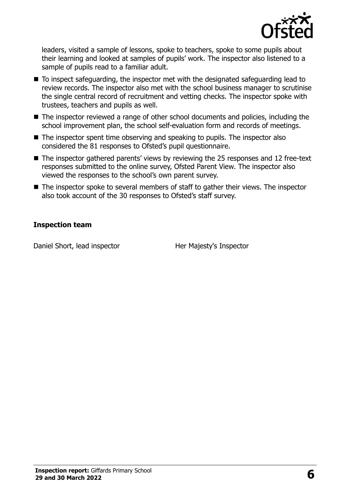

leaders, visited a sample of lessons, spoke to teachers, spoke to some pupils about their learning and looked at samples of pupils' work. The inspector also listened to a sample of pupils read to a familiar adult.

- To inspect safeguarding, the inspector met with the designated safeguarding lead to review records. The inspector also met with the school business manager to scrutinise the single central record of recruitment and vetting checks. The inspector spoke with trustees, teachers and pupils as well.
- The inspector reviewed a range of other school documents and policies, including the school improvement plan, the school self-evaluation form and records of meetings.
- The inspector spent time observing and speaking to pupils. The inspector also considered the 81 responses to Ofsted's pupil questionnaire.
- The inspector gathered parents' views by reviewing the 25 responses and 12 free-text responses submitted to the online survey, Ofsted Parent View. The inspector also viewed the responses to the school's own parent survey.
- The inspector spoke to several members of staff to gather their views. The inspector also took account of the 30 responses to Ofsted's staff survey.

#### **Inspection team**

Daniel Short, lead inspector **Her Majesty's Inspector**